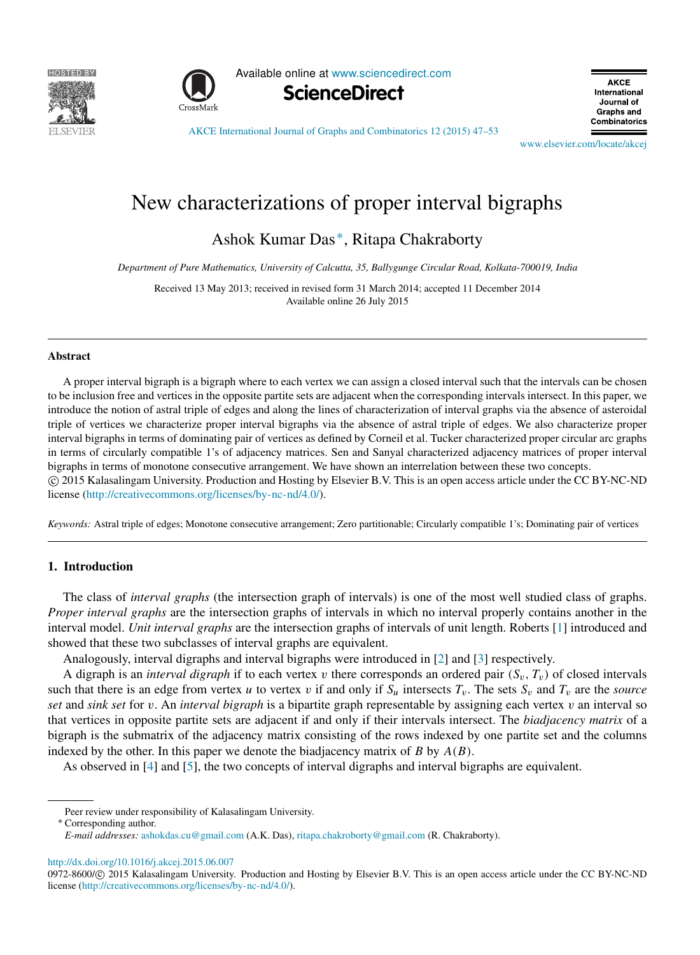



Available online at [www.sciencedirect.com](http://www.elsevier.com/locate/akcej)



**AKCE** International Journal of **Graphs and** Combinatorics

[AKCE International Journal of Graphs and Combinatorics 12 \(2015\) 47–53](http://dx.doi.org/10.1016/j.akcej.2015.06.007)

[www.elsevier.com/locate/akcej](http://www.elsevier.com/locate/akcej)

# New characterizations of proper interval bigraph[s](#page-0-0)

Ashok Kumar Das[∗](#page-0-1) , Ritapa Chakraborty

*Department of Pure Mathematics, University of Calcutta, 35, Ballygunge Circular Road, Kolkata-700019, India*

Received 13 May 2013; received in revised form 31 March 2014; accepted 11 December 2014 Available online 26 July 2015

#### Abstract

A proper interval bigraph is a bigraph where to each vertex we can assign a closed interval such that the intervals can be chosen to be inclusion free and vertices in the opposite partite sets are adjacent when the corresponding intervals intersect. In this paper, we introduce the notion of astral triple of edges and along the lines of characterization of interval graphs via the absence of asteroidal triple of vertices we characterize proper interval bigraphs via the absence of astral triple of edges. We also characterize proper interval bigraphs in terms of dominating pair of vertices as defined by Corneil et al. Tucker characterized proper circular arc graphs in terms of circularly compatible 1's of adjacency matrices. Sen and Sanyal characterized adjacency matrices of proper interval bigraphs in terms of monotone consecutive arrangement. We have shown an interrelation between these two concepts. ⃝c 2015 Kalasalingam University. Production and Hosting by Elsevier B.V. This is an open access article under the CC BY-NC-ND license [\(http://creativecommons.org/licenses/by-nc-nd/4.0/\)](http://creativecommons.org/licenses/by-nc-nd/4.0/).

*Keywords:* Astral triple of edges; Monotone consecutive arrangement; Zero partitionable; Circularly compatible 1's; Dominating pair of vertices

## 1. Introduction

The class of *interval graphs* (the intersection graph of intervals) is one of the most well studied class of graphs. *Proper interval graphs* are the intersection graphs of intervals in which no interval properly contains another in the interval model. *Unit interval graphs* are the intersection graphs of intervals of unit length. Roberts [\[1\]](#page-6-0) introduced and showed that these two subclasses of interval graphs are equivalent.

Analogously, interval digraphs and interval bigraphs were introduced in [\[2\]](#page-6-1) and [\[3\]](#page-6-2) respectively.

A digraph is an *interval digraph* if to each vertex v there corresponds an ordered pair  $(S_v, T_v)$  of closed intervals such that there is an edge from vertex *u* to vertex *v* if and only if  $S_u$  intersects  $T_v$ . The sets  $S_v$  and  $T_v$  are the *source set* and *sink set* for v. An *interval bigraph* is a bipartite graph representable by assigning each vertex v an interval so that vertices in opposite partite sets are adjacent if and only if their intervals intersect. The *biadjacency matrix* of a bigraph is the submatrix of the adjacency matrix consisting of the rows indexed by one partite set and the columns indexed by the other. In this paper we denote the biadjacency matrix of *B* by *A*(*B*).

As observed in [\[4\]](#page-6-3) and [\[5\]](#page-6-4), the two concepts of interval digraphs and interval bigraphs are equivalent.

<span id="page-0-1"></span><sup>∗</sup> Corresponding author.

<http://dx.doi.org/10.1016/j.akcej.2015.06.007>

<span id="page-0-0"></span>Peer review under responsibility of Kalasalingam University.

*E-mail addresses:* [ashokdas.cu@gmail.com](mailto:ashokdas.cu@gmail.com) (A.K. Das), [ritapa.chakroborty@gmail.com](mailto:ritapa.chakroborty@gmail.com) (R. Chakraborty).

<sup>0972-8600/© 2015</sup> Kalasalingam University. Production and Hosting by Elsevier B.V. This is an open access article under the CC BY-NC-ND license [\(http://creativecommons.org/licenses/by-nc-nd/4.0/\)](http://creativecommons.org/licenses/by-nc-nd/4.0/).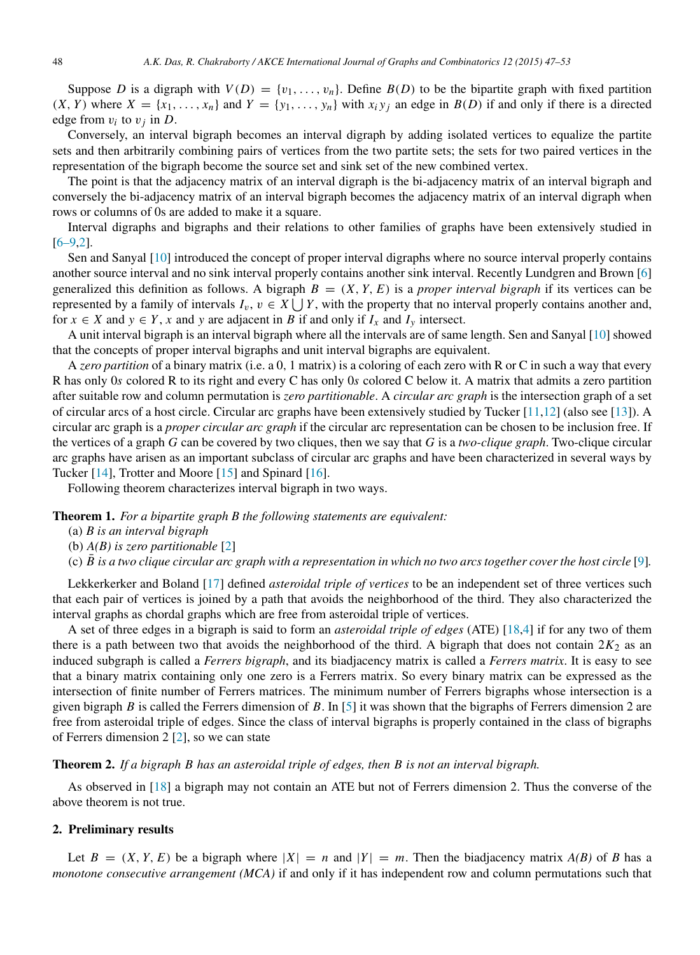Suppose *D* is a digraph with  $V(D) = \{v_1, \ldots, v_n\}$ . Define  $B(D)$  to be the bipartite graph with fixed partition  $(X, Y)$  where  $X = \{x_1, \ldots, x_n\}$  and  $Y = \{y_1, \ldots, y_n\}$  with  $x_i y_j$  an edge in  $B(D)$  if and only if there is a directed edge from  $v_i$  to  $v_j$  in  $D$ .

Conversely, an interval bigraph becomes an interval digraph by adding isolated vertices to equalize the partite sets and then arbitrarily combining pairs of vertices from the two partite sets; the sets for two paired vertices in the representation of the bigraph become the source set and sink set of the new combined vertex.

The point is that the adjacency matrix of an interval digraph is the bi-adjacency matrix of an interval bigraph and conversely the bi-adjacency matrix of an interval bigraph becomes the adjacency matrix of an interval digraph when rows or columns of 0s are added to make it a square.

Interval digraphs and bigraphs and their relations to other families of graphs have been extensively studied in  $[6-9,2]$  $[6-9,2]$ .

Sen and Sanyal [\[10\]](#page-6-6) introduced the concept of proper interval digraphs where no source interval properly contains another source interval and no sink interval properly contains another sink interval. Recently Lundgren and Brown [\[6\]](#page-6-5) generalized this definition as follows. A bigraph  $B = (X, Y, E)$  is a *proper interval bigraph* if its vertices can be represented by a family of intervals  $I_v$ ,  $v \in X \cup Y$ , with the property that no interval properly contains another and, for  $x \in X$  and  $y \in Y$ , *x* and *y* are adjacent in *B* if and only if  $I_x$  and  $I_y$  intersect.

A unit interval bigraph is an interval bigraph where all the intervals are of same length. Sen and Sanyal [\[10\]](#page-6-6) showed that the concepts of proper interval bigraphs and unit interval bigraphs are equivalent.

A *zero partition* of a binary matrix (i.e. a 0, 1 matrix) is a coloring of each zero with R or C in such a way that every R has only 0*s* colored R to its right and every C has only 0*s* colored C below it. A matrix that admits a zero partition after suitable row and column permutation is *zero partitionable*. A *circular arc graph* is the intersection graph of a set of circular arcs of a host circle. Circular arc graphs have been extensively studied by Tucker [\[11](#page-6-7)[,12\]](#page-6-8) (also see [\[13\]](#page-6-9)). A circular arc graph is a *proper circular arc graph* if the circular arc representation can be chosen to be inclusion free. If the vertices of a graph *G* can be covered by two cliques, then we say that *G* is a *two-clique graph*. Two-clique circular arc graphs have arisen as an important subclass of circular arc graphs and have been characterized in several ways by Tucker [\[14\]](#page-6-10), Trotter and Moore [\[15\]](#page-6-11) and Spinard [\[16\]](#page-6-12).

Following theorem characterizes interval bigraph in two ways.

Theorem 1. *For a bipartite graph B the following statements are equivalent:*

- (a) *B is an interval bigraph*
- (b) *A(B) is zero partitionable* [\[2\]](#page-6-1)
- (c) *B* is a two clique circular arc graph with a representation in which no two arcs together cover the host circle [\[9\]](#page-6-13).

Lekkerkerker and Boland [\[17\]](#page-6-14) defined *asteroidal triple of vertices* to be an independent set of three vertices such that each pair of vertices is joined by a path that avoids the neighborhood of the third. They also characterized the interval graphs as chordal graphs which are free from asteroidal triple of vertices.

A set of three edges in a bigraph is said to form an *asteroidal triple of edges* (ATE) [\[18](#page-6-15)[,4\]](#page-6-3) if for any two of them there is a path between two that avoids the neighborhood of the third. A bigraph that does not contain  $2K_2$  as an induced subgraph is called a *Ferrers bigraph*, and its biadjacency matrix is called a *Ferrers matrix*. It is easy to see that a binary matrix containing only one zero is a Ferrers matrix. So every binary matrix can be expressed as the intersection of finite number of Ferrers matrices. The minimum number of Ferrers bigraphs whose intersection is a given bigraph *B* is called the Ferrers dimension of *B*. In [\[5\]](#page-6-4) it was shown that the bigraphs of Ferrers dimension 2 are free from asteroidal triple of edges. Since the class of interval bigraphs is properly contained in the class of bigraphs of Ferrers dimension 2 [\[2\]](#page-6-1), so we can state

Theorem 2. *If a bigraph B has an asteroidal triple of edges, then B is not an interval bigraph.*

As observed in [\[18\]](#page-6-15) a bigraph may not contain an ATE but not of Ferrers dimension 2. Thus the converse of the above theorem is not true.

#### <span id="page-1-0"></span>2. Preliminary results

Let  $B = (X, Y, E)$  be a bigraph where  $|X| = n$  and  $|Y| = m$ . Then the biadjacency matrix  $A(B)$  of *B* has a *monotone consecutive arrangement (MCA)* if and only if it has independent row and column permutations such that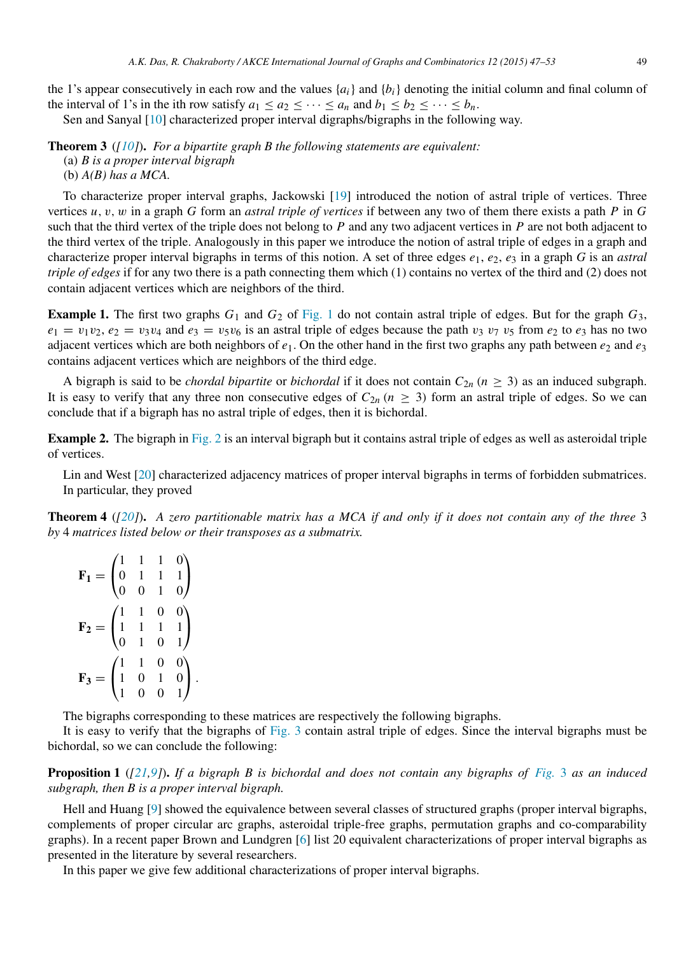the 1's appear consecutively in each row and the values  $\{a_i\}$  and  $\{b_i\}$  denoting the initial column and final column of the interval of 1's in the ith row satisfy  $a_1 \le a_2 \le \cdots \le a_n$  and  $b_1 \le b_2 \le \cdots \le b_n$ .

Sen and Sanyal [\[10\]](#page-6-6) characterized proper interval digraphs/bigraphs in the following way.

Theorem 3 (*[\[10\]](#page-6-6)*). *For a bipartite graph B the following statements are equivalent:* (a) *B is a proper interval bigraph*

(b) *A(B) has a MCA.*

To characterize proper interval graphs, Jackowski [\[19\]](#page-6-16) introduced the notion of astral triple of vertices. Three vertices *u*, v, w in a graph *G* form an *astral triple of vertices* if between any two of them there exists a path *P* in *G* such that the third vertex of the triple does not belong to *P* and any two adjacent vertices in *P* are not both adjacent to the third vertex of the triple. Analogously in this paper we introduce the notion of astral triple of edges in a graph and characterize proper interval bigraphs in terms of this notion. A set of three edges  $e_1, e_2, e_3$  in a graph *G* is an *astral triple of edges* if for any two there is a path connecting them which (1) contains no vertex of the third and (2) does not contain adjacent vertices which are neighbors of the third.

**Example 1.** The first two graphs  $G_1$  and  $G_2$  of [Fig. 1](#page-3-0) do not contain astral triple of edges. But for the graph  $G_3$ ,  $e_1 = v_1v_2$ ,  $e_2 = v_3v_4$  and  $e_3 = v_5v_6$  is an astral triple of edges because the path  $v_3$   $v_7$   $v_5$  from  $e_2$  to  $e_3$  has no two adjacent vertices which are both neighbors of  $e_1$ . On the other hand in the first two graphs any path between  $e_2$  and  $e_3$ contains adjacent vertices which are neighbors of the third edge.

A bigraph is said to be *chordal bipartite* or *bichordal* if it does not contain  $C_{2n}$  ( $n \ge 3$ ) as an induced subgraph. It is easy to verify that any three non consecutive edges of  $C_{2n}$  ( $n \geq 3$ ) form an astral triple of edges. So we can conclude that if a bigraph has no astral triple of edges, then it is bichordal.

Example 2. The bigraph in [Fig. 2](#page-3-1) is an interval bigraph but it contains astral triple of edges as well as asteroidal triple of vertices.

<span id="page-2-1"></span>Lin and West [\[20\]](#page-6-17) characterized adjacency matrices of proper interval bigraphs in terms of forbidden submatrices. In particular, they proved

Theorem 4 (*[\[20\]](#page-6-17)*). *A zero partitionable matrix has a MCA if and only if it does not contain any of the three* 3 *by* 4 *matrices listed below or their transposes as a submatrix.*

| $\mathbf{F}_1$ | $\begin{pmatrix} 1 & 1 & 1 \\ 0 & 1 & 1 \\ 0 & 0 & 1 \end{pmatrix}$ |                                            |                                            |                |
|----------------|---------------------------------------------------------------------|--------------------------------------------|--------------------------------------------|----------------|
| $\mathbf{F}_2$ | $\begin{pmatrix} 1 & 1 & 0 \\ 1 & 1 & 1 \\ 0 & 1 & 0 \end{pmatrix}$ |                                            |                                            |                |
| $\mathbf{F}_3$ |                                                                     | $\begin{array}{c} 1 \\ 0 \\ 0 \end{array}$ | $\begin{array}{c} 0 \\ 1 \\ 0 \end{array}$ | $\overline{0}$ |

The bigraphs corresponding to these matrices are respectively the following bigraphs.

It is easy to verify that the bigraphs of [Fig. 3](#page-3-2) contain astral triple of edges. Since the interval bigraphs must be bichordal, so we can conclude the following:

<span id="page-2-0"></span>Proposition 1 (*[\[21](#page-6-18)[,9\]](#page-6-13)*). *If a bigraph B is bichordal and does not contain any bigraphs of [Fig.](#page-3-2)* 3 *as an induced subgraph, then B is a proper interval bigraph.*

Hell and Huang [\[9\]](#page-6-13) showed the equivalence between several classes of structured graphs (proper interval bigraphs, complements of proper circular arc graphs, asteroidal triple-free graphs, permutation graphs and co-comparability graphs). In a recent paper Brown and Lundgren [\[6\]](#page-6-5) list 20 equivalent characterizations of proper interval bigraphs as presented in the literature by several researchers.

In this paper we give few additional characterizations of proper interval bigraphs.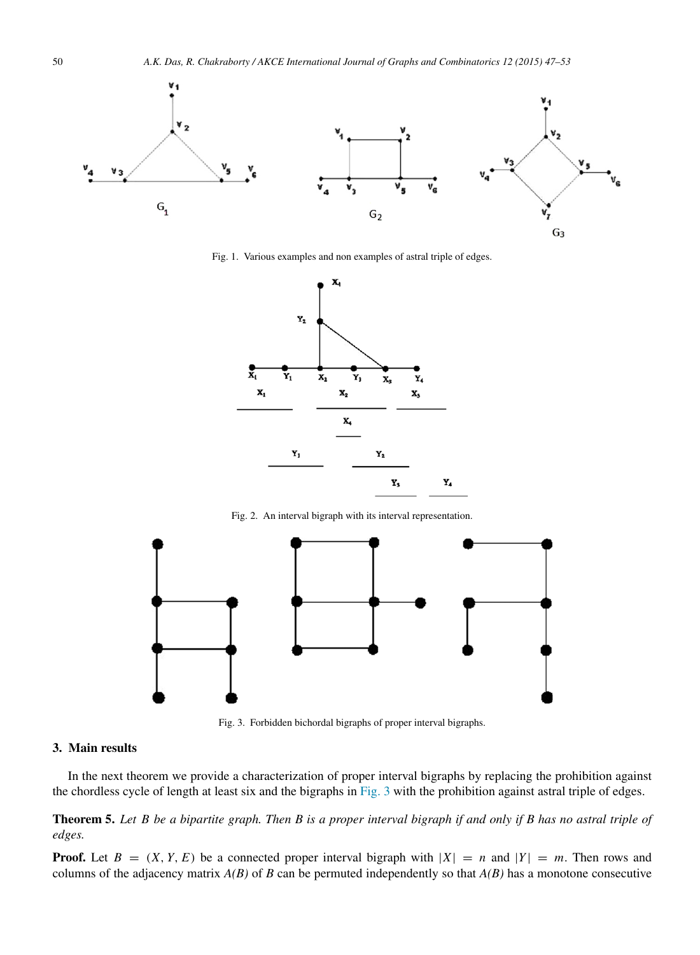<span id="page-3-0"></span>

<span id="page-3-1"></span>Fig. 1. Various examples and non examples of astral triple of edges.



Fig. 2. An interval bigraph with its interval representation.

<span id="page-3-2"></span>

Fig. 3. Forbidden bichordal bigraphs of proper interval bigraphs.

# 3. Main results

In the next theorem we provide a characterization of proper interval bigraphs by replacing the prohibition against the chordless cycle of length at least six and the bigraphs in [Fig. 3](#page-3-2) with the prohibition against astral triple of edges.

# Theorem 5. *Let B be a bipartite graph. Then B is a proper interval bigraph if and only if B has no astral triple of edges.*

**Proof.** Let  $B = (X, Y, E)$  be a connected proper interval bigraph with  $|X| = n$  and  $|Y| = m$ . Then rows and columns of the adjacency matrix  $A(B)$  of *B* can be permuted independently so that  $A(B)$  has a monotone consecutive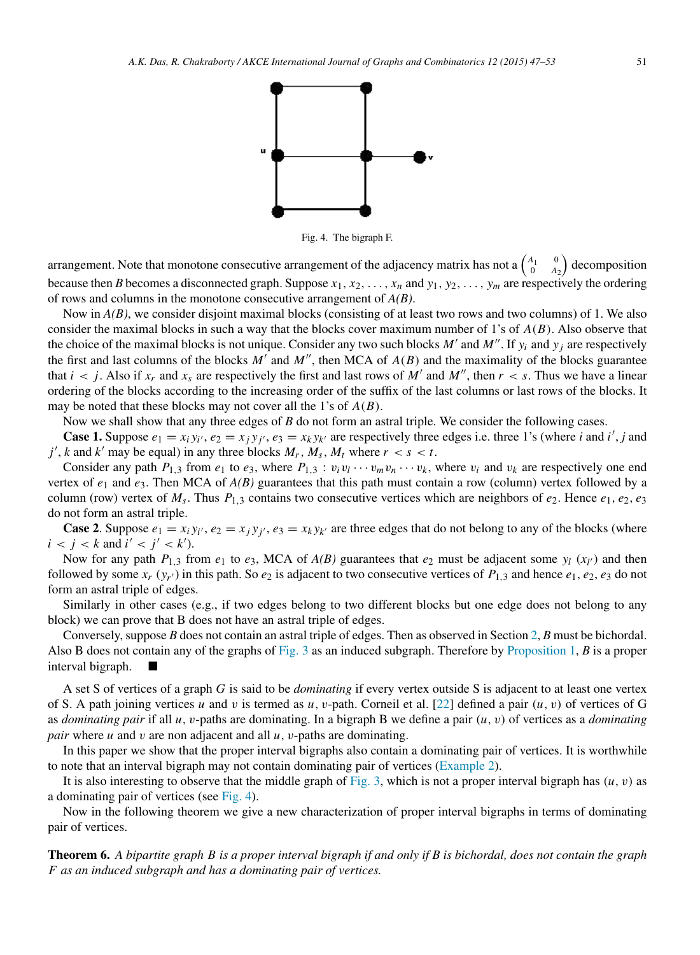

Fig. 4. The bigraph F.

<span id="page-4-0"></span>arrangement. Note that monotone consecutive arrangement of the adjacency matrix has not a  $\begin{pmatrix} A_1 & 0 \\ 0 & A_2 \end{pmatrix}$  decomposition because then *B* becomes a disconnected graph. Suppose  $x_1, x_2, \ldots, x_n$  and  $y_1, y_2, \ldots, y_m$  are respectively the ordering of rows and columns in the monotone consecutive arrangement of *A(B)*.

Now in *A(B)*, we consider disjoint maximal blocks (consisting of at least two rows and two columns) of 1. We also consider the maximal blocks in such a way that the blocks cover maximum number of 1's of *A*(*B*). Also observe that the choice of the maximal blocks is not unique. Consider any two such blocks  $M'$  and  $M''$ . If  $y_i$  and  $y_j$  are respectively the first and last columns of the blocks  $M'$  and  $M''$ , then MCA of  $A(B)$  and the maximality of the blocks guarantee that  $i < j$ . Also if  $x_r$  and  $x_s$  are respectively the first and last rows of M' and M'', then  $r < s$ . Thus we have a linear ordering of the blocks according to the increasing order of the suffix of the last columns or last rows of the blocks. It may be noted that these blocks may not cover all the 1's of *A*(*B*).

Now we shall show that any three edges of *B* do not form an astral triple. We consider the following cases.

**Case 1.** Suppose  $e_1 = x_i y_i$ ,  $e_2 = x_j y_j$ ,  $e_3 = x_k y_k$  are respectively three edges i.e. three 1's (where *i* and *i'*, *j* and  $j'$ , *k* and *k*<sup> $\prime$ </sup> may be equal) in any three blocks  $M_r$ ,  $M_s$ ,  $M_t$  where  $r < s < t$ .

Consider any path  $P_{1,3}$  from  $e_1$  to  $e_3$ , where  $P_{1,3}$ :  $v_i v_l \cdots v_m v_n \cdots v_k$ , where  $v_i$  and  $v_k$  are respectively one end vertex of  $e_1$  and  $e_3$ . Then MCA of  $A(B)$  guarantees that this path must contain a row (column) vertex followed by a column (row) vertex of  $M_s$ . Thus  $P_{1,3}$  contains two consecutive vertices which are neighbors of  $e_2$ . Hence  $e_1, e_2, e_3$ do not form an astral triple.

**Case 2.** Suppose  $e_1 = x_i y_i$ ,  $e_2 = x_j y_j$ ,  $e_3 = x_k y_k$  are three edges that do not belong to any of the blocks (where  $i < j < k$  and  $i' < j' < k'$ ).

Now for any path  $P_{1,3}$  from  $e_1$  to  $e_3$ , MCA of  $A(B)$  guarantees that  $e_2$  must be adjacent some  $y_l(x_{l'})$  and then followed by some  $x_r$  ( $y_r$ ) in this path. So  $e_2$  is adjacent to two consecutive vertices of  $P_{1,3}$  and hence  $e_1, e_2, e_3$  do not form an astral triple of edges.

Similarly in other cases (e.g., if two edges belong to two different blocks but one edge does not belong to any block) we can prove that B does not have an astral triple of edges.

Conversely, suppose *B* does not contain an astral triple of edges. Then as observed in Section [2,](#page-1-0) *B* must be bichordal. Also B does not contain any of the graphs of [Fig. 3](#page-3-2) as an induced subgraph. Therefore by [Proposition 1,](#page-2-0) *B* is a proper interval bigraph.

A set S of vertices of a graph *G* is said to be *dominating* if every vertex outside S is adjacent to at least one vertex of S. A path joining vertices *u* and *v* is termed as *u*, *v*-path. Corneil et al. [\[22\]](#page-6-19) defined a pair  $(u, v)$  of vertices of G as *dominating pair* if all *u*, v-paths are dominating. In a bigraph B we define a pair (*u*, v) of vertices as a *dominating pair* where *u* and *v* are non adjacent and all *u*, *v*-paths are dominating.

In this paper we show that the proper interval bigraphs also contain a dominating pair of vertices. It is worthwhile to note that an interval bigraph may not contain dominating pair of vertices [\(Example 2\)](#page-2-1).

It is also interesting to observe that the middle graph of [Fig. 3,](#page-3-2) which is not a proper interval bigraph has  $(u, v)$  as a dominating pair of vertices (see [Fig. 4\)](#page-4-0).

Now in the following theorem we give a new characterization of proper interval bigraphs in terms of dominating pair of vertices.

Theorem 6. *A bipartite graph B is a proper interval bigraph if and only if B is bichordal, does not contain the graph F as an induced subgraph and has a dominating pair of vertices.*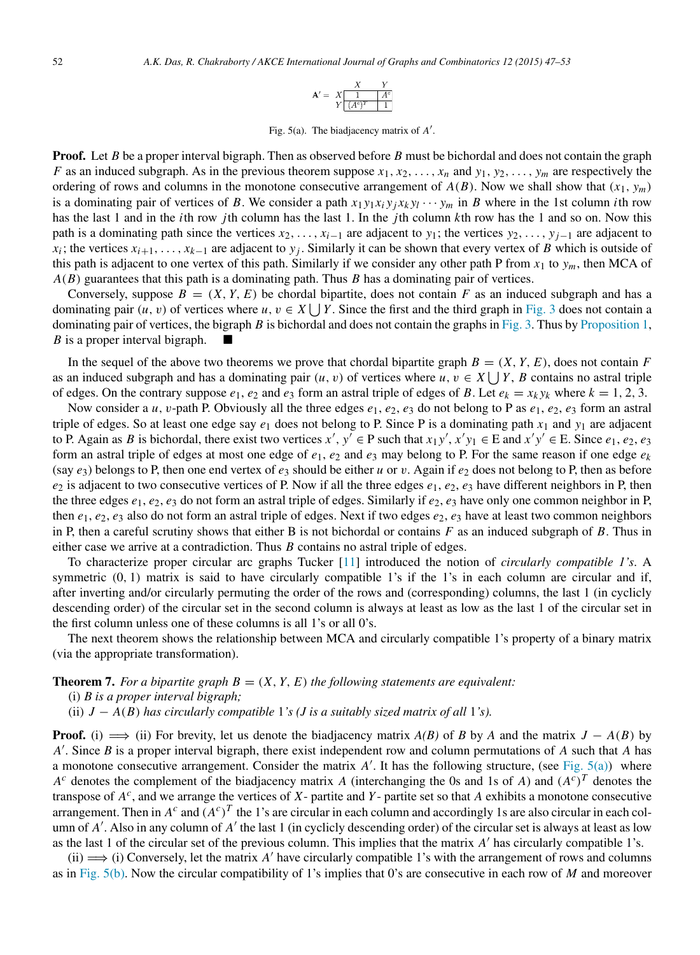

Fig. 5(a). The biadjacency matrix of A'.

<span id="page-5-0"></span>**Proof.** Let *B* be a proper interval bigraph. Then as observed before *B* must be bichordal and does not contain the graph *F* as an induced subgraph. As in the previous theorem suppose  $x_1, x_2, \ldots, x_n$  and  $y_1, y_2, \ldots, y_m$  are respectively the ordering of rows and columns in the monotone consecutive arrangement of  $A(B)$ . Now we shall show that  $(x_1, y_m)$ is a dominating pair of vertices of B. We consider a path  $x_1y_1x_iy_jx_ky_l \cdots y_m$  in B where in the 1st column *i*th row has the last 1 and in the *i*th row *j*th column has the last 1. In the *j*th column *k*th row has the 1 and so on. Now this path is a dominating path since the vertices  $x_2, \ldots, x_{i-1}$  are adjacent to  $y_1$ ; the vertices  $y_2, \ldots, y_{i-1}$  are adjacent to  $x_i$ ; the vertices  $x_{i+1}, \ldots, x_{k-1}$  are adjacent to  $y_j$ . Similarly it can be shown that every vertex of *B* which is outside of this path is adjacent to one vertex of this path. Similarly if we consider any other path P from  $x_1$  to  $y_m$ , then MCA of *A*(*B*) guarantees that this path is a dominating path. Thus *B* has a dominating pair of vertices.

Conversely, suppose  $B = (X, Y, E)$  be chordal bipartite, does not contain *F* as an induced subgraph and has a dominating pair  $(u, v)$  of vertices where  $u, v \in X \cup Y$ . Since the first and the third graph in [Fig. 3](#page-3-2) does not contain a dominating pair of vertices, the bigraph *B* is bichordal and does not contain the graphs in [Fig. 3.](#page-3-2) Thus by [Proposition 1,](#page-2-0) *B* is a proper interval bigraph.

In the sequel of the above two theorems we prove that chordal bipartite graph  $B = (X, Y, E)$ , does not contain *F* as an induced subgraph and has a dominating pair  $(u, v)$  of vertices where  $u, v \in X \cup Y$ , *B* contains no astral triple of edges. On the contrary suppose  $e_1$ ,  $e_2$  and  $e_3$  form an astral triple of edges of *B*. Let  $e_k = x_k y_k$  where  $k = 1, 2, 3$ .

Now consider a *u*, v-path P. Obviously all the three edges *e*1, *e*2, *e*<sup>3</sup> do not belong to P as *e*1, *e*2, *e*<sup>3</sup> form an astral triple of edges. So at least one edge say  $e_1$  does not belong to P. Since P is a dominating path  $x_1$  and  $y_1$  are adjacent to P. Again as *B* is bichordal, there exist two vertices  $x'$ ,  $y' \in P$  such that  $x_1y'$ ,  $x'y_1 \in E$  and  $x'y' \in E$ . Since  $e_1, e_2, e_3$ form an astral triple of edges at most one edge of  $e_1$ ,  $e_2$  and  $e_3$  may belong to P. For the same reason if one edge  $e_k$ (say  $e_3$ ) belongs to P, then one end vertex of  $e_3$  should be either *u* or *v*. Again if  $e_2$  does not belong to P, then as before  $e_2$  is adjacent to two consecutive vertices of P. Now if all the three edges  $e_1, e_2, e_3$  have different neighbors in P, then the three edges  $e_1, e_2, e_3$  do not form an astral triple of edges. Similarly if  $e_2, e_3$  have only one common neighbor in P, then  $e_1, e_2, e_3$  also do not form an astral triple of edges. Next if two edges  $e_2, e_3$  have at least two common neighbors in P, then a careful scrutiny shows that either B is not bichordal or contains *F* as an induced subgraph of *B*. Thus in either case we arrive at a contradiction. Thus *B* contains no astral triple of edges.

To characterize proper circular arc graphs Tucker [\[11\]](#page-6-7) introduced the notion of *circularly compatible 1's*. A symmetric  $(0, 1)$  matrix is said to have circularly compatible 1's if the 1's in each column are circular and if, after inverting and/or circularly permuting the order of the rows and (corresponding) columns, the last 1 (in cyclicly descending order) of the circular set in the second column is always at least as low as the last 1 of the circular set in the first column unless one of these columns is all 1's or all 0's.

The next theorem shows the relationship between MCA and circularly compatible 1's property of a binary matrix (via the appropriate transformation).

**Theorem 7.** For a bipartite graph  $B = (X, Y, E)$  the following statements are equivalent:

- (i) *B is a proper interval bigraph;*
- (ii) *J* − *A*(*B*) *has circularly compatible* 1*'s (J is a suitably sized matrix of all* 1*'s).*

**Proof.** (i)  $\implies$  (ii) For brevity, let us denote the biadjacency matrix *A(B)* of *B* by *A* and the matrix *J* − *A(B)* by *A* ′ . Since *B* is a proper interval bigraph, there exist independent row and column permutations of *A* such that *A* has a monotone consecutive arrangement. Consider the matrix  $A'$ . It has the following structure, (see [Fig. 5\(a\)\)](#page-5-0) where  $A^c$  denotes the complement of the biadjacency matrix *A* (interchanging the 0s and 1s of *A*) and  $(A^c)^T$  denotes the transpose of *A c* , and we arrange the vertices of *X*- partite and *Y* - partite set so that *A* exhibits a monotone consecutive arrangement. Then in  $A^c$  and  $(A^c)^T$  the 1's are circular in each column and accordingly 1s are also circular in each column of *A'*. Also in any column of *A'* the last 1 (in cyclicly descending order) of the circular set is always at least as low as the last 1 of the circular set of the previous column. This implies that the matrix *A* ′ has circularly compatible 1's.

(ii)  $\Longrightarrow$  (i) Conversely, let the matrix *A'* have circularly compatible 1's with the arrangement of rows and columns as in [Fig. 5\(b\).](#page-6-20) Now the circular compatibility of 1's implies that 0's are consecutive in each row of *M* and moreover